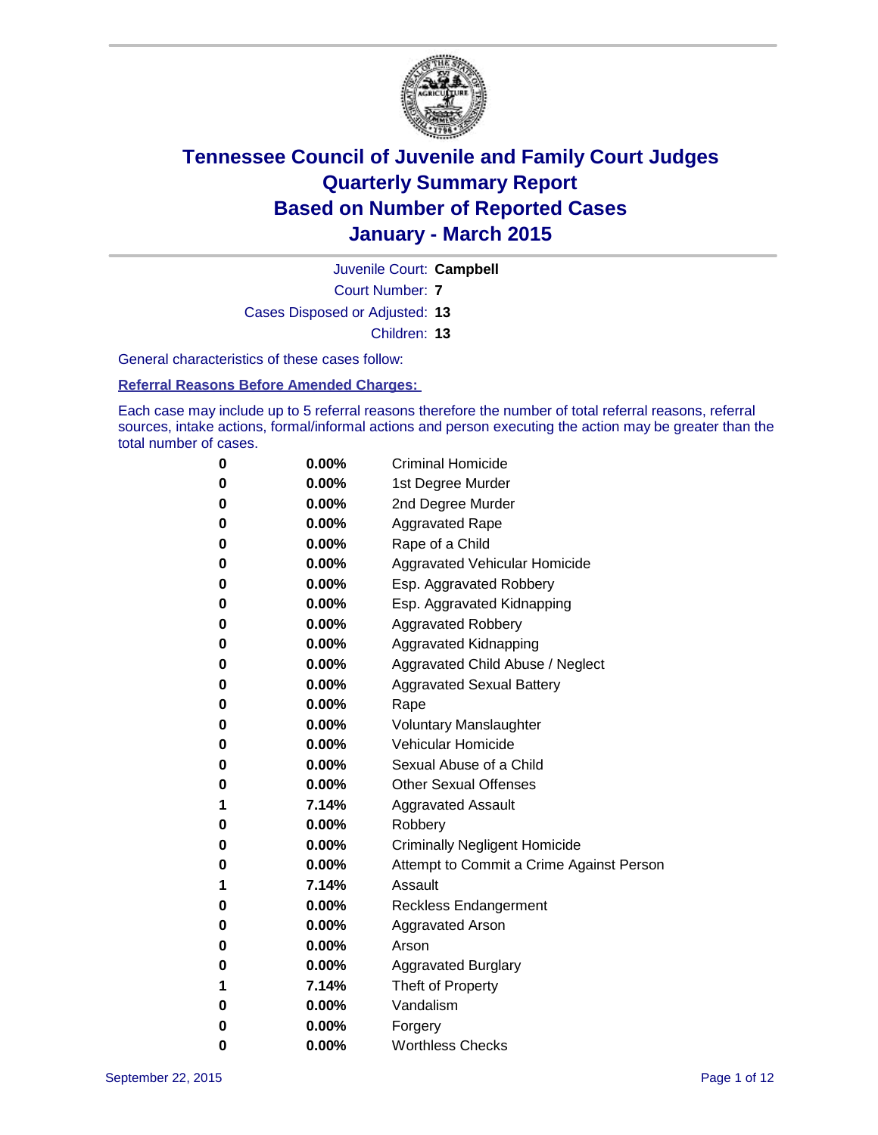

Juvenile Court: **Campbell**

Court Number: **7**

Cases Disposed or Adjusted: **13**

Children: **13**

General characteristics of these cases follow:

**Referral Reasons Before Amended Charges:** 

Each case may include up to 5 referral reasons therefore the number of total referral reasons, referral sources, intake actions, formal/informal actions and person executing the action may be greater than the total number of cases.

| 0 | $0.00\%$ | <b>Criminal Homicide</b>                 |
|---|----------|------------------------------------------|
| 0 | $0.00\%$ | 1st Degree Murder                        |
| 0 | $0.00\%$ | 2nd Degree Murder                        |
| 0 | $0.00\%$ | <b>Aggravated Rape</b>                   |
| 0 | $0.00\%$ | Rape of a Child                          |
| 0 | $0.00\%$ | <b>Aggravated Vehicular Homicide</b>     |
| 0 | 0.00%    | Esp. Aggravated Robbery                  |
| 0 | $0.00\%$ | Esp. Aggravated Kidnapping               |
| 0 | $0.00\%$ | <b>Aggravated Robbery</b>                |
| 0 | 0.00%    | <b>Aggravated Kidnapping</b>             |
| 0 | $0.00\%$ | Aggravated Child Abuse / Neglect         |
| 0 | $0.00\%$ | <b>Aggravated Sexual Battery</b>         |
| 0 | $0.00\%$ | Rape                                     |
| 0 | $0.00\%$ | <b>Voluntary Manslaughter</b>            |
| 0 | $0.00\%$ | <b>Vehicular Homicide</b>                |
| 0 | $0.00\%$ | Sexual Abuse of a Child                  |
| 0 | $0.00\%$ | <b>Other Sexual Offenses</b>             |
| 1 | 7.14%    | <b>Aggravated Assault</b>                |
| 0 | $0.00\%$ | Robbery                                  |
| 0 | $0.00\%$ | <b>Criminally Negligent Homicide</b>     |
| 0 | $0.00\%$ | Attempt to Commit a Crime Against Person |
| 1 | 7.14%    | Assault                                  |
| 0 | $0.00\%$ | Reckless Endangerment                    |
| 0 | $0.00\%$ | <b>Aggravated Arson</b>                  |
| 0 | $0.00\%$ | Arson                                    |
| 0 | $0.00\%$ | <b>Aggravated Burglary</b>               |
| 1 | 7.14%    | Theft of Property                        |
| 0 | $0.00\%$ | Vandalism                                |
| 0 | $0.00\%$ | Forgery                                  |
| 0 | 0.00%    | <b>Worthless Checks</b>                  |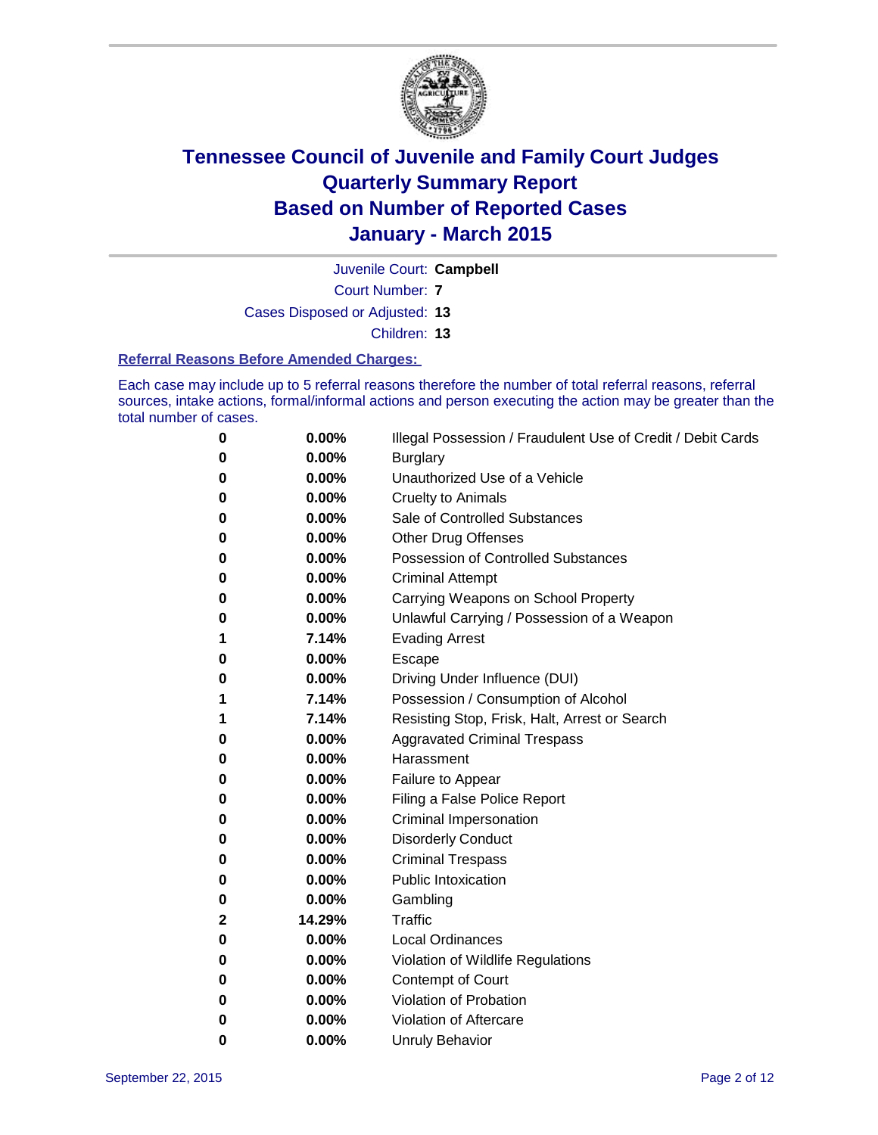

Juvenile Court: **Campbell**

Court Number: **7**

Cases Disposed or Adjusted: **13**

Children: **13**

#### **Referral Reasons Before Amended Charges:**

Each case may include up to 5 referral reasons therefore the number of total referral reasons, referral sources, intake actions, formal/informal actions and person executing the action may be greater than the total number of cases.

| 0            | 0.00%  | Illegal Possession / Fraudulent Use of Credit / Debit Cards |
|--------------|--------|-------------------------------------------------------------|
| 0            | 0.00%  | <b>Burglary</b>                                             |
| 0            | 0.00%  | Unauthorized Use of a Vehicle                               |
| 0            | 0.00%  | <b>Cruelty to Animals</b>                                   |
| 0            | 0.00%  | Sale of Controlled Substances                               |
| 0            | 0.00%  | <b>Other Drug Offenses</b>                                  |
| 0            | 0.00%  | <b>Possession of Controlled Substances</b>                  |
| 0            | 0.00%  | <b>Criminal Attempt</b>                                     |
| 0            | 0.00%  | Carrying Weapons on School Property                         |
| 0            | 0.00%  | Unlawful Carrying / Possession of a Weapon                  |
| 1            | 7.14%  | <b>Evading Arrest</b>                                       |
| 0            | 0.00%  | Escape                                                      |
| 0            | 0.00%  | Driving Under Influence (DUI)                               |
| 1            | 7.14%  | Possession / Consumption of Alcohol                         |
| 1            | 7.14%  | Resisting Stop, Frisk, Halt, Arrest or Search               |
| 0            | 0.00%  | <b>Aggravated Criminal Trespass</b>                         |
| 0            | 0.00%  | Harassment                                                  |
| 0            | 0.00%  | Failure to Appear                                           |
| 0            | 0.00%  | Filing a False Police Report                                |
| 0            | 0.00%  | Criminal Impersonation                                      |
| 0            | 0.00%  | <b>Disorderly Conduct</b>                                   |
| 0            | 0.00%  | <b>Criminal Trespass</b>                                    |
| 0            | 0.00%  | <b>Public Intoxication</b>                                  |
| 0            | 0.00%  | Gambling                                                    |
| $\mathbf{2}$ | 14.29% | <b>Traffic</b>                                              |
| 0            | 0.00%  | <b>Local Ordinances</b>                                     |
| 0            | 0.00%  | Violation of Wildlife Regulations                           |
| 0            | 0.00%  | <b>Contempt of Court</b>                                    |
| 0            | 0.00%  | Violation of Probation                                      |
| 0            | 0.00%  | Violation of Aftercare                                      |
| 0            | 0.00%  | <b>Unruly Behavior</b>                                      |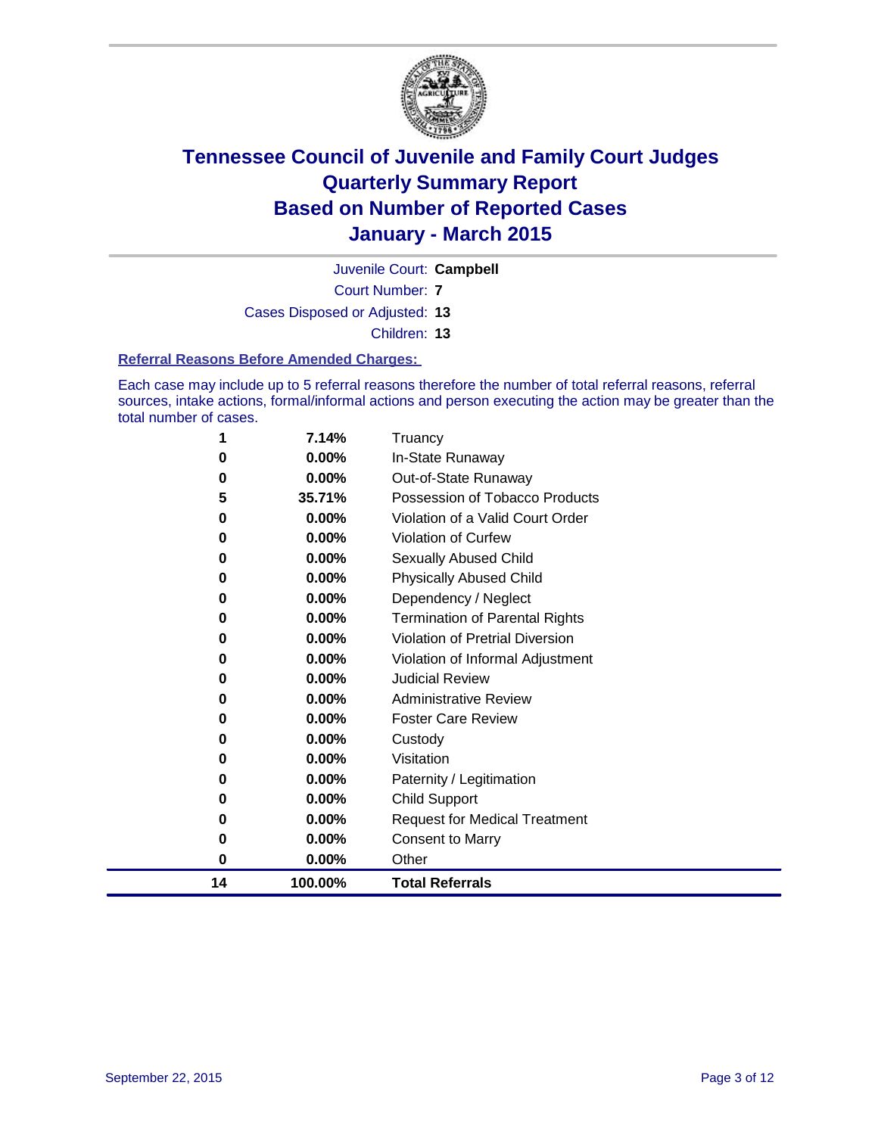

Juvenile Court: **Campbell**

Court Number: **7**

Cases Disposed or Adjusted: **13**

Children: **13**

#### **Referral Reasons Before Amended Charges:**

Each case may include up to 5 referral reasons therefore the number of total referral reasons, referral sources, intake actions, formal/informal actions and person executing the action may be greater than the total number of cases.

| 1  | 7.14%    | Truancy                                |
|----|----------|----------------------------------------|
| 0  | 0.00%    | In-State Runaway                       |
| 0  | $0.00\%$ | Out-of-State Runaway                   |
| 5  | 35.71%   | Possession of Tobacco Products         |
| 0  | $0.00\%$ | Violation of a Valid Court Order       |
| 0  | 0.00%    | <b>Violation of Curfew</b>             |
| 0  | 0.00%    | Sexually Abused Child                  |
| 0  | 0.00%    | <b>Physically Abused Child</b>         |
| 0  | 0.00%    | Dependency / Neglect                   |
| 0  | 0.00%    | <b>Termination of Parental Rights</b>  |
| 0  | $0.00\%$ | <b>Violation of Pretrial Diversion</b> |
| 0  | 0.00%    | Violation of Informal Adjustment       |
| 0  | $0.00\%$ | <b>Judicial Review</b>                 |
| 0  | $0.00\%$ | <b>Administrative Review</b>           |
| 0  | 0.00%    | <b>Foster Care Review</b>              |
| 0  | 0.00%    | Custody                                |
| 0  | 0.00%    | Visitation                             |
| 0  | $0.00\%$ | Paternity / Legitimation               |
| 0  | 0.00%    | <b>Child Support</b>                   |
| 0  | 0.00%    | <b>Request for Medical Treatment</b>   |
| 0  | 0.00%    | <b>Consent to Marry</b>                |
| 0  | 0.00%    | Other                                  |
| 14 | 100.00%  | <b>Total Referrals</b>                 |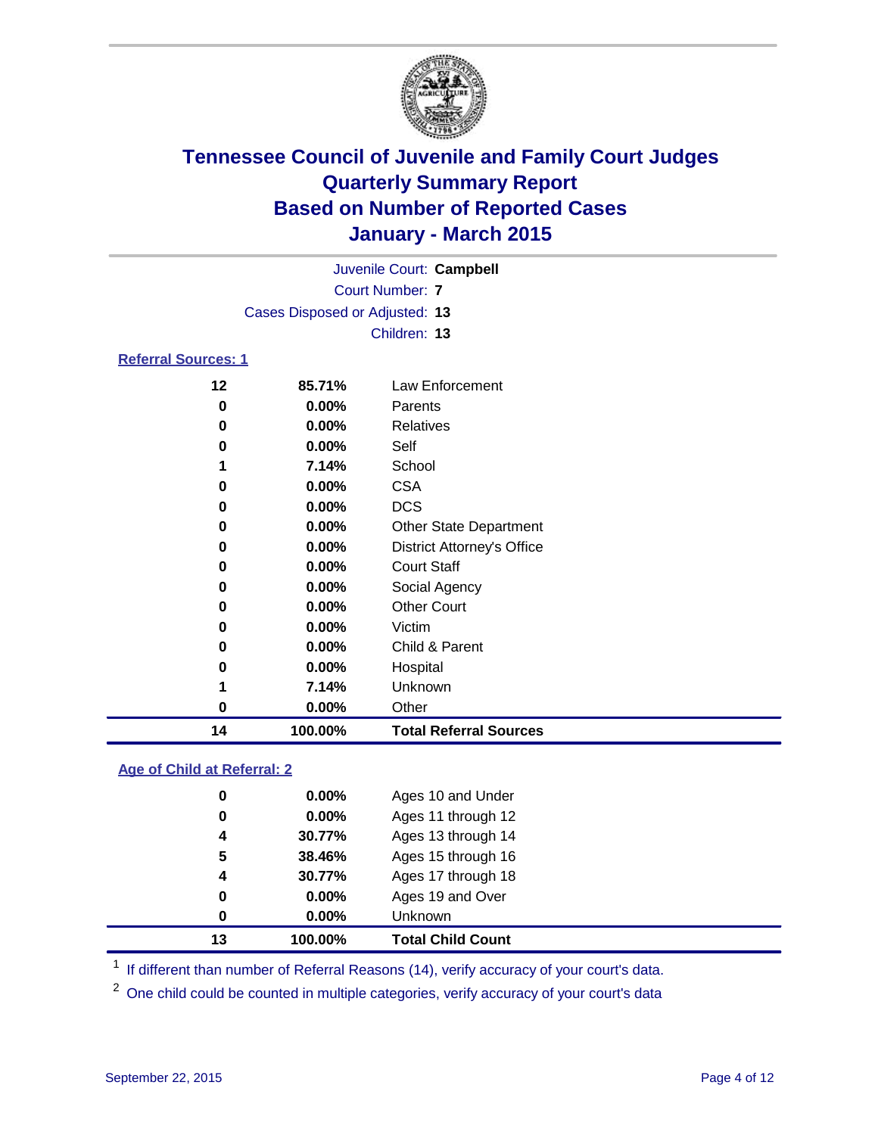

| Juvenile Court: Campbell   |                                |                                   |  |  |  |  |
|----------------------------|--------------------------------|-----------------------------------|--|--|--|--|
| <b>Court Number: 7</b>     |                                |                                   |  |  |  |  |
|                            | Cases Disposed or Adjusted: 13 |                                   |  |  |  |  |
|                            |                                | Children: 13                      |  |  |  |  |
| <b>Referral Sources: 1</b> |                                |                                   |  |  |  |  |
| 12                         | 85.71%                         | Law Enforcement                   |  |  |  |  |
| 0                          |                                | Parents                           |  |  |  |  |
|                            | $0.00\%$                       |                                   |  |  |  |  |
| 0                          | $0.00\%$                       | Relatives                         |  |  |  |  |
| 0                          | $0.00\%$                       | Self                              |  |  |  |  |
| 1                          | 7.14%                          | School                            |  |  |  |  |
| 0                          | 0.00%                          | <b>CSA</b>                        |  |  |  |  |
| 0                          | 0.00%                          | <b>DCS</b>                        |  |  |  |  |
| 0                          | $0.00\%$                       | <b>Other State Department</b>     |  |  |  |  |
| 0                          | $0.00\%$                       | <b>District Attorney's Office</b> |  |  |  |  |
| 0                          | 0.00%                          | <b>Court Staff</b>                |  |  |  |  |
| 0                          | 0.00%                          | Social Agency                     |  |  |  |  |
| 0                          | $0.00\%$                       | <b>Other Court</b>                |  |  |  |  |
| 0                          | 0.00%                          | Victim                            |  |  |  |  |
| 0                          | 0.00%                          | Child & Parent                    |  |  |  |  |
| 0                          | 0.00%                          | Hospital                          |  |  |  |  |
| 1                          | 7.14%                          | Unknown                           |  |  |  |  |
| 0                          | 0.00%                          | Other                             |  |  |  |  |

#### **Age of Child at Referral: 2**

| 13 | 100.00%  | <b>Total Child Count</b> |
|----|----------|--------------------------|
| 0  | 0.00%    | <b>Unknown</b>           |
| 0  | $0.00\%$ | Ages 19 and Over         |
| 4  | 30.77%   | Ages 17 through 18       |
| 5  | 38.46%   | Ages 15 through 16       |
| 4  | 30.77%   | Ages 13 through 14       |
| 0  | 0.00%    | Ages 11 through 12       |
| 0  | $0.00\%$ | Ages 10 and Under        |
|    |          |                          |

<sup>1</sup> If different than number of Referral Reasons (14), verify accuracy of your court's data.

**100.00% Total Referral Sources**

One child could be counted in multiple categories, verify accuracy of your court's data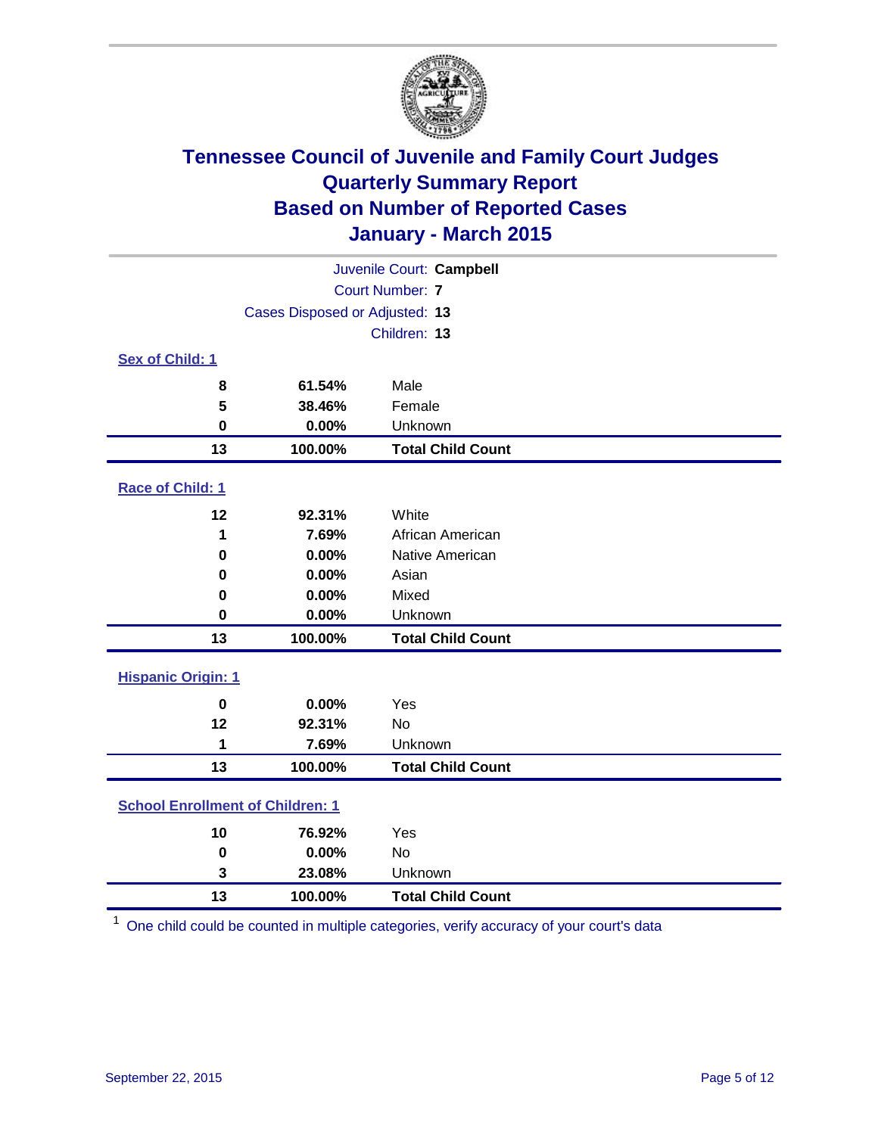

| Juvenile Court: Campbell                |                                |                          |  |  |
|-----------------------------------------|--------------------------------|--------------------------|--|--|
| Court Number: 7                         |                                |                          |  |  |
|                                         | Cases Disposed or Adjusted: 13 |                          |  |  |
|                                         |                                | Children: 13             |  |  |
| Sex of Child: 1                         |                                |                          |  |  |
| 8                                       | 61.54%                         | Male                     |  |  |
| 5                                       | 38.46%                         | Female                   |  |  |
| $\bf{0}$                                | 0.00%                          | Unknown                  |  |  |
| 13                                      | 100.00%                        | <b>Total Child Count</b> |  |  |
| Race of Child: 1                        |                                |                          |  |  |
| 12                                      | 92.31%                         | White                    |  |  |
| 1                                       | 7.69%                          | African American         |  |  |
| 0                                       | 0.00%                          | Native American          |  |  |
| 0                                       | 0.00%                          | Asian                    |  |  |
| 0                                       | 0.00%                          | Mixed                    |  |  |
| 0                                       | 0.00%                          | Unknown                  |  |  |
| 13                                      | 100.00%                        | <b>Total Child Count</b> |  |  |
| <b>Hispanic Origin: 1</b>               |                                |                          |  |  |
| $\mathbf 0$                             | 0.00%                          | Yes                      |  |  |
| 12                                      | 92.31%                         | <b>No</b>                |  |  |
| 1                                       | 7.69%                          | Unknown                  |  |  |
| 13                                      | 100.00%                        | <b>Total Child Count</b> |  |  |
| <b>School Enrollment of Children: 1</b> |                                |                          |  |  |
| 10                                      | 76.92%                         | Yes                      |  |  |
| $\bf{0}$                                | 0.00%                          | <b>No</b>                |  |  |
| 3                                       | 23.08%                         | Unknown                  |  |  |
| 13                                      | 100.00%                        | <b>Total Child Count</b> |  |  |

One child could be counted in multiple categories, verify accuracy of your court's data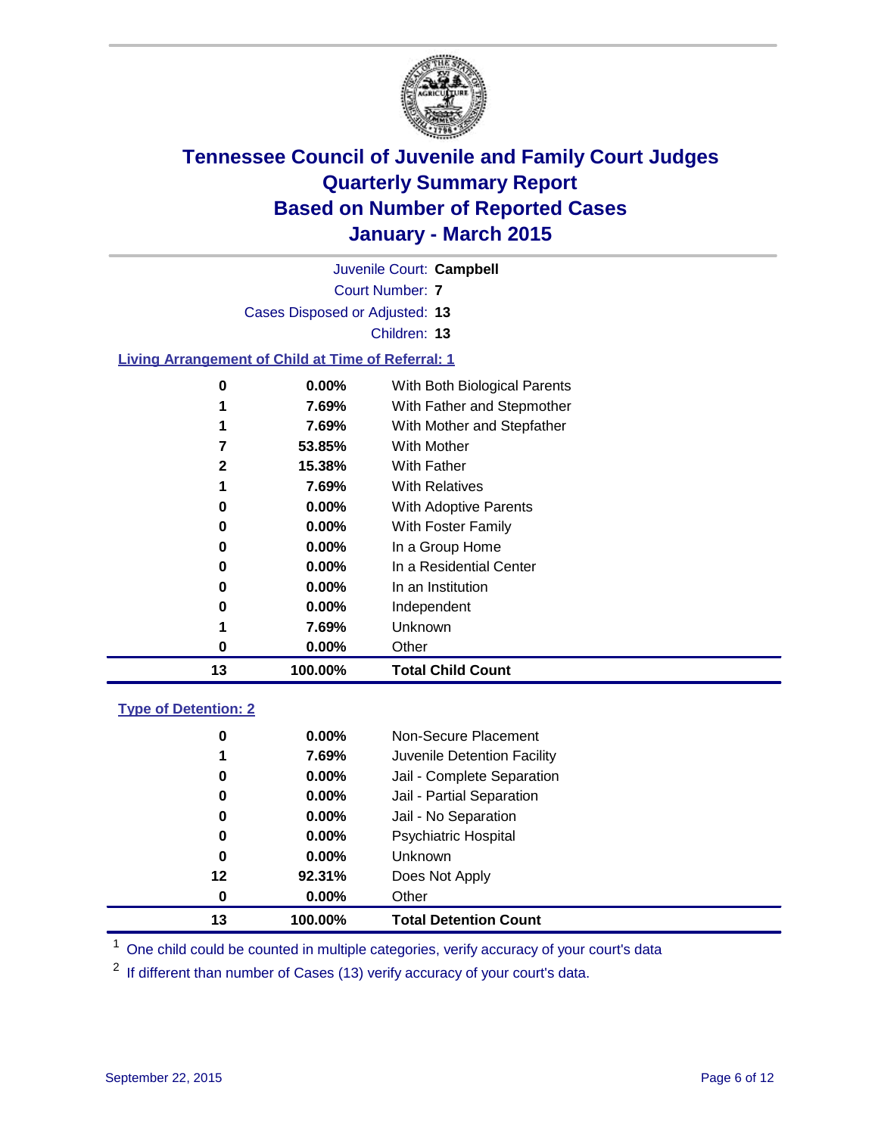

|                                                           |                                | Juvenile Court: Campbell     |
|-----------------------------------------------------------|--------------------------------|------------------------------|
|                                                           |                                | <b>Court Number: 7</b>       |
|                                                           | Cases Disposed or Adjusted: 13 |                              |
|                                                           |                                | Children: 13                 |
| <b>Living Arrangement of Child at Time of Referral: 1</b> |                                |                              |
| $\bf{0}$                                                  | 0.00%                          | With Both Biological Parents |
|                                                           | 7.69%                          | With Father and Stepmother   |
|                                                           | 7.69%                          | With Mother and Stepfather   |
| 7                                                         | 53.85%                         | <b>With Mother</b>           |
| $\mathbf{2}$                                              | 15.38%                         | <b>With Father</b>           |
|                                                           | 7.69%                          | <b>With Relatives</b>        |
| 0                                                         | $0.00\%$                       | With Adoptive Parents        |
| 0                                                         | $0.00\%$                       | With Foster Family           |
| 0                                                         | $0.00\%$                       | In a Group Home              |
| $\bf{0}$                                                  | 0.00%                          | In a Residential Center      |
| 0                                                         | $0.00\%$                       | In an Institution            |
| 0                                                         | 0.00%                          | Independent                  |
|                                                           | 7.69%                          | Unknown                      |
| $\bf{0}$                                                  | 0.00%                          | Other                        |
| 13                                                        | 100.00%                        | <b>Total Child Count</b>     |
| <b>Type of Detention: 2</b>                               |                                |                              |
| 0                                                         | 0.00%                          | Non-Secure Placement         |

| 13 | 100.00%  | <b>Total Detention Count</b> |
|----|----------|------------------------------|
| 0  | $0.00\%$ | Other                        |
| 12 | 92.31%   | Does Not Apply               |
| 0  | $0.00\%$ | <b>Unknown</b>               |
| 0  | $0.00\%$ | <b>Psychiatric Hospital</b>  |
| 0  | $0.00\%$ | Jail - No Separation         |
| 0  | $0.00\%$ | Jail - Partial Separation    |
| 0  | $0.00\%$ | Jail - Complete Separation   |
| 1  | 7.69%    | Juvenile Detention Facility  |
| υ  | U.UU%    | Non-Secure Placement         |

<sup>1</sup> One child could be counted in multiple categories, verify accuracy of your court's data

If different than number of Cases (13) verify accuracy of your court's data.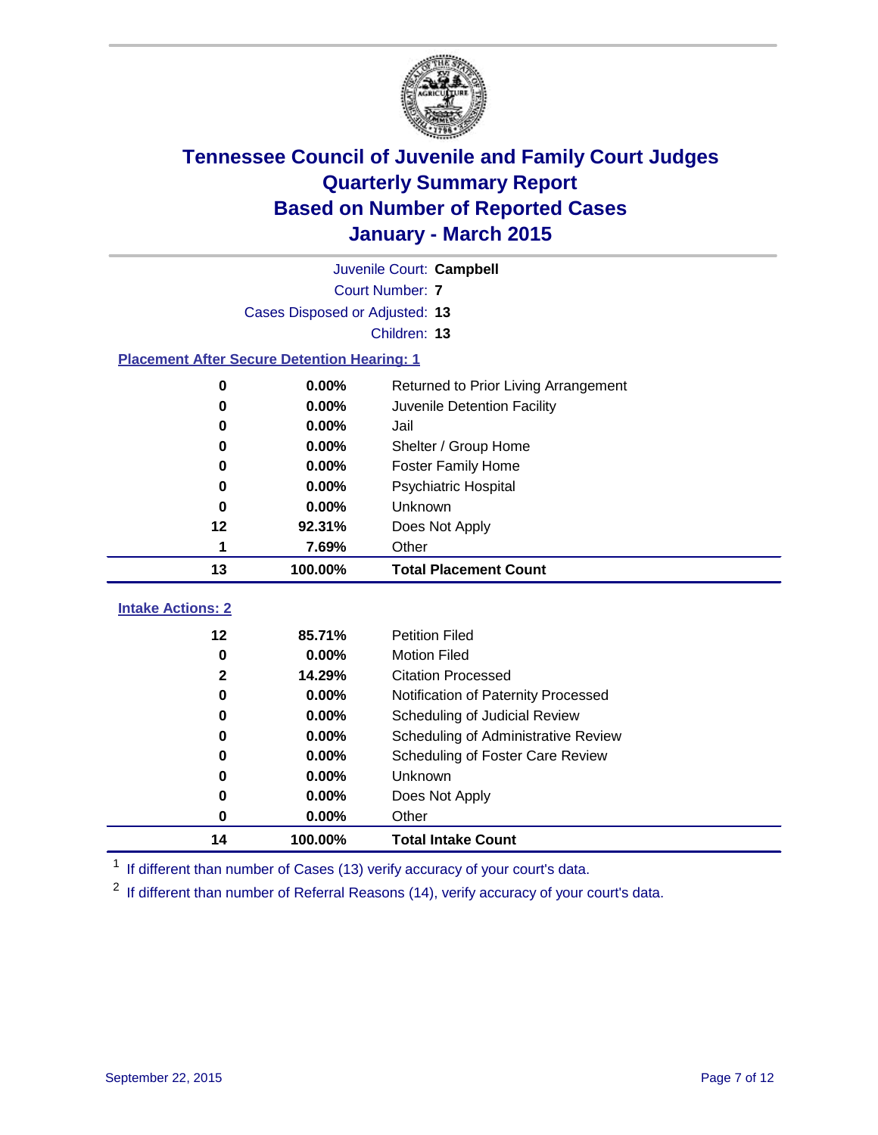

| Juvenile Court: Campbell                           |                                |                                      |  |  |  |
|----------------------------------------------------|--------------------------------|--------------------------------------|--|--|--|
|                                                    | <b>Court Number: 7</b>         |                                      |  |  |  |
|                                                    | Cases Disposed or Adjusted: 13 |                                      |  |  |  |
|                                                    |                                | Children: 13                         |  |  |  |
| <b>Placement After Secure Detention Hearing: 1</b> |                                |                                      |  |  |  |
| 0                                                  | 0.00%                          | Returned to Prior Living Arrangement |  |  |  |
| 0                                                  | 0.00%                          | Juvenile Detention Facility          |  |  |  |
| 0                                                  | 0.00%                          | Jail                                 |  |  |  |
| 0                                                  | 0.00%                          | Shelter / Group Home                 |  |  |  |
| 0                                                  | 0.00%                          | Foster Family Home                   |  |  |  |
| $\bf{0}$                                           | 0.00%                          | Psychiatric Hospital                 |  |  |  |
| 0                                                  | 0.00%                          | Unknown                              |  |  |  |
| 12                                                 | 92.31%                         | Does Not Apply                       |  |  |  |
| 1                                                  | 7.69%                          | Other                                |  |  |  |
| 13                                                 | 100.00%                        | <b>Total Placement Count</b>         |  |  |  |
| <b>Intake Actions: 2</b>                           |                                |                                      |  |  |  |
| 12                                                 | 85.71%                         | <b>Petition Filed</b>                |  |  |  |
| $\mathbf 0$                                        | 0.00%                          | <b>Motion Filed</b>                  |  |  |  |
| $\mathbf 2$                                        | 14.29%                         | <b>Citation Processed</b>            |  |  |  |
| $\bf{0}$                                           | 0.00%                          | Notification of Paternity Processed  |  |  |  |
| $\bf{0}$                                           | 0.00%                          | Scheduling of Judicial Review        |  |  |  |
| 0                                                  | 0.00%                          | Scheduling of Administrative Review  |  |  |  |
| 0                                                  | 0.00%                          | Scheduling of Foster Care Review     |  |  |  |
| 0                                                  | 0.00%                          | Unknown                              |  |  |  |
| 0                                                  | 0.00%                          | Does Not Apply                       |  |  |  |
| 0                                                  | 0.00%                          | Other                                |  |  |  |
| 14                                                 | 100.00%                        | <b>Total Intake Count</b>            |  |  |  |

<sup>1</sup> If different than number of Cases (13) verify accuracy of your court's data.

<sup>2</sup> If different than number of Referral Reasons (14), verify accuracy of your court's data.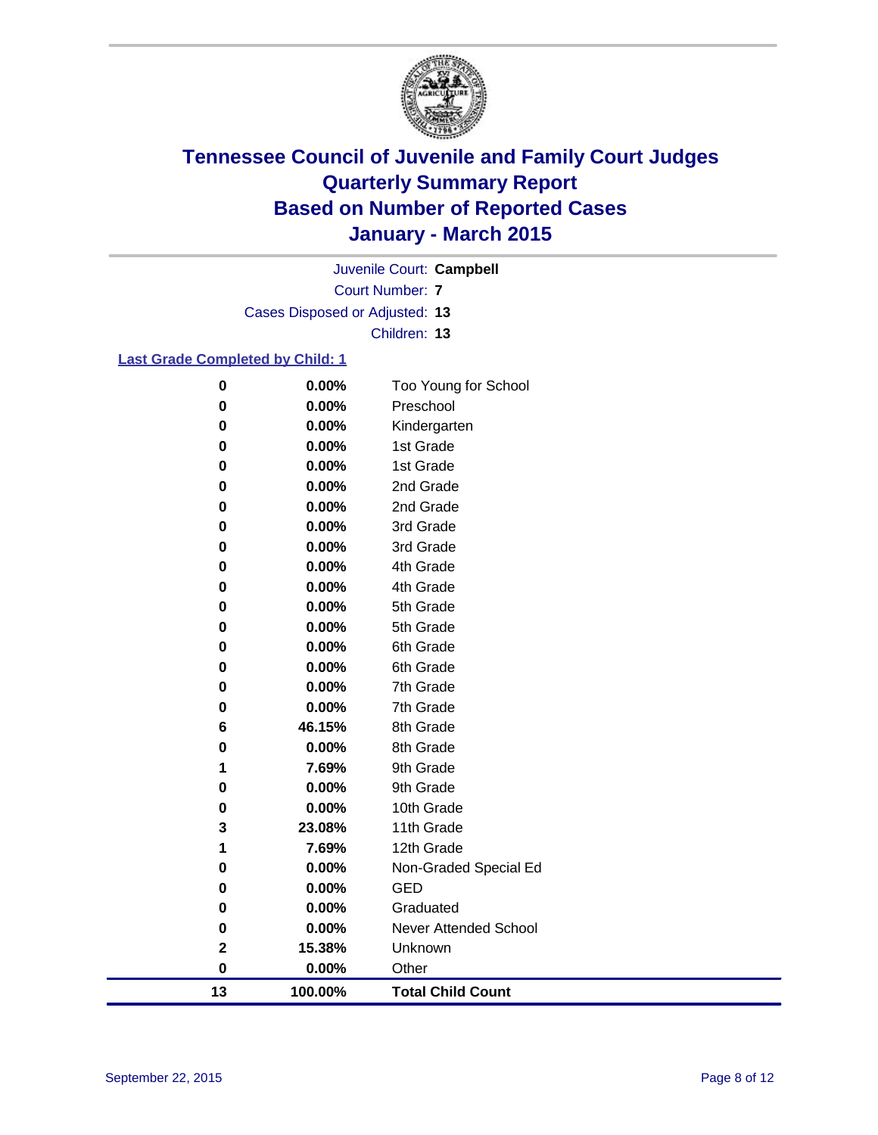

Court Number: **7** Juvenile Court: **Campbell** Cases Disposed or Adjusted: **13** Children: **13**

#### **Last Grade Completed by Child: 1**

| $\bf{0}$    | 0.00%   | Too Young for School         |
|-------------|---------|------------------------------|
| $\bf{0}$    | 0.00%   | Preschool                    |
| $\bf{0}$    | 0.00%   | Kindergarten                 |
| $\bf{0}$    | 0.00%   | 1st Grade                    |
| 0           | 0.00%   | 1st Grade                    |
| 0           | 0.00%   | 2nd Grade                    |
| $\bf{0}$    | 0.00%   | 2nd Grade                    |
| $\bf{0}$    | 0.00%   | 3rd Grade                    |
| $\bf{0}$    | 0.00%   | 3rd Grade                    |
| $\bf{0}$    | 0.00%   | 4th Grade                    |
| 0           | 0.00%   | 4th Grade                    |
| 0           | 0.00%   | 5th Grade                    |
| 0           | 0.00%   | 5th Grade                    |
| $\bf{0}$    | 0.00%   | 6th Grade                    |
| $\bf{0}$    | 0.00%   | 6th Grade                    |
| 0           | 0.00%   | 7th Grade                    |
| $\bf{0}$    | 0.00%   | 7th Grade                    |
| 6           | 46.15%  | 8th Grade                    |
| 0           | 0.00%   | 8th Grade                    |
| 1           | 7.69%   | 9th Grade                    |
| 0           | 0.00%   | 9th Grade                    |
| 0           | 0.00%   | 10th Grade                   |
| 3           | 23.08%  | 11th Grade                   |
| 1           | 7.69%   | 12th Grade                   |
| 0           | 0.00%   | Non-Graded Special Ed        |
| 0           | 0.00%   | GED                          |
| 0           | 0.00%   | Graduated                    |
| 0           | 0.00%   | <b>Never Attended School</b> |
| $\mathbf 2$ | 15.38%  | Unknown                      |
| $\mathbf 0$ | 0.00%   | Other                        |
| 13          | 100.00% | <b>Total Child Count</b>     |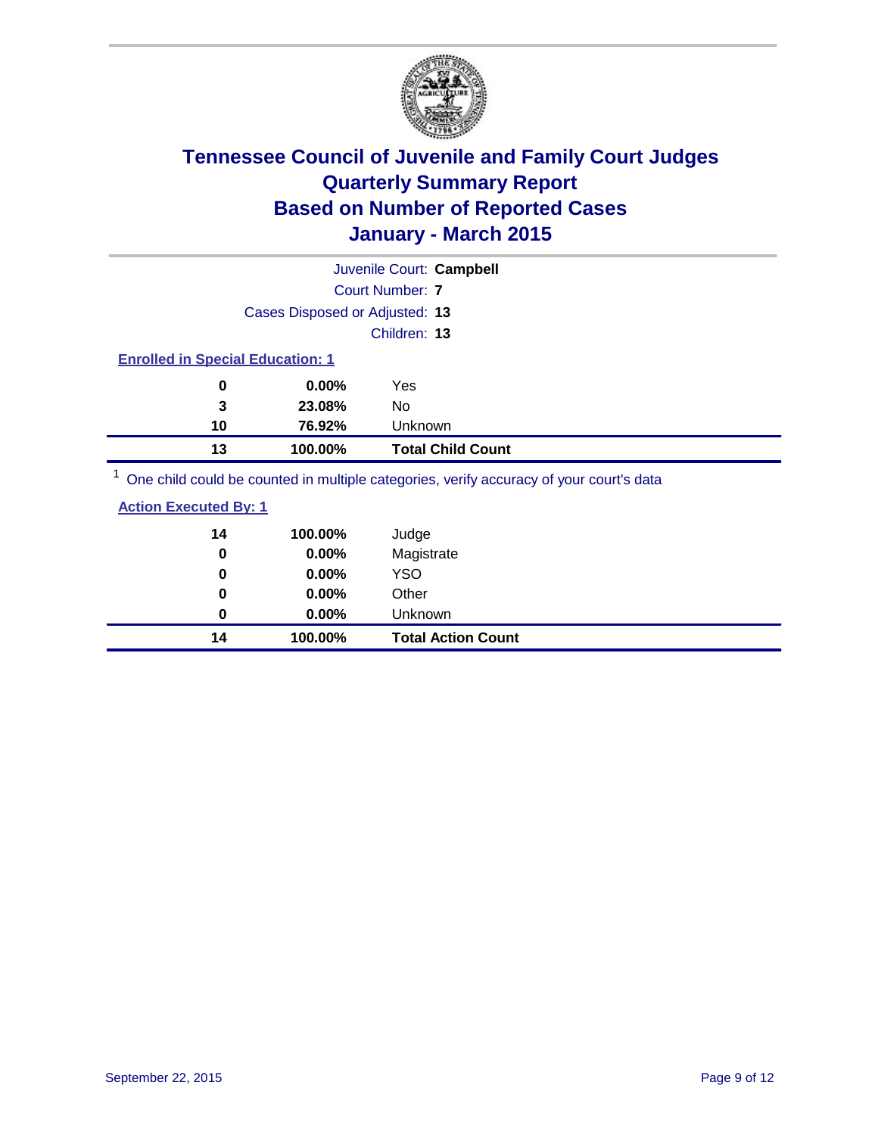

| Juvenile Court: Campbell                                                                |                                |                          |  |  |
|-----------------------------------------------------------------------------------------|--------------------------------|--------------------------|--|--|
|                                                                                         | Court Number: 7                |                          |  |  |
|                                                                                         | Cases Disposed or Adjusted: 13 |                          |  |  |
|                                                                                         |                                | Children: 13             |  |  |
| <b>Enrolled in Special Education: 1</b>                                                 |                                |                          |  |  |
| 0                                                                                       | $0.00\%$                       | Yes                      |  |  |
| 3                                                                                       | 23.08%                         | No.                      |  |  |
| 10                                                                                      | 76.92%                         | <b>Unknown</b>           |  |  |
| 13                                                                                      | 100.00%                        | <b>Total Child Count</b> |  |  |
| One child could be counted in multiple categories, verify accuracy of your court's data |                                |                          |  |  |

<sup>1</sup> One child could be counted in multiple categories, verify accuracy of your court's data

| 14<br>0 | 100.00%<br>0.00% | Judge<br>Magistrate       |
|---------|------------------|---------------------------|
| 0       | $0.00\%$         | <b>YSO</b>                |
| 0       | 0.00%            | Other                     |
| 0       | $0.00\%$         | Unknown                   |
| 14      | 100.00%          | <b>Total Action Count</b> |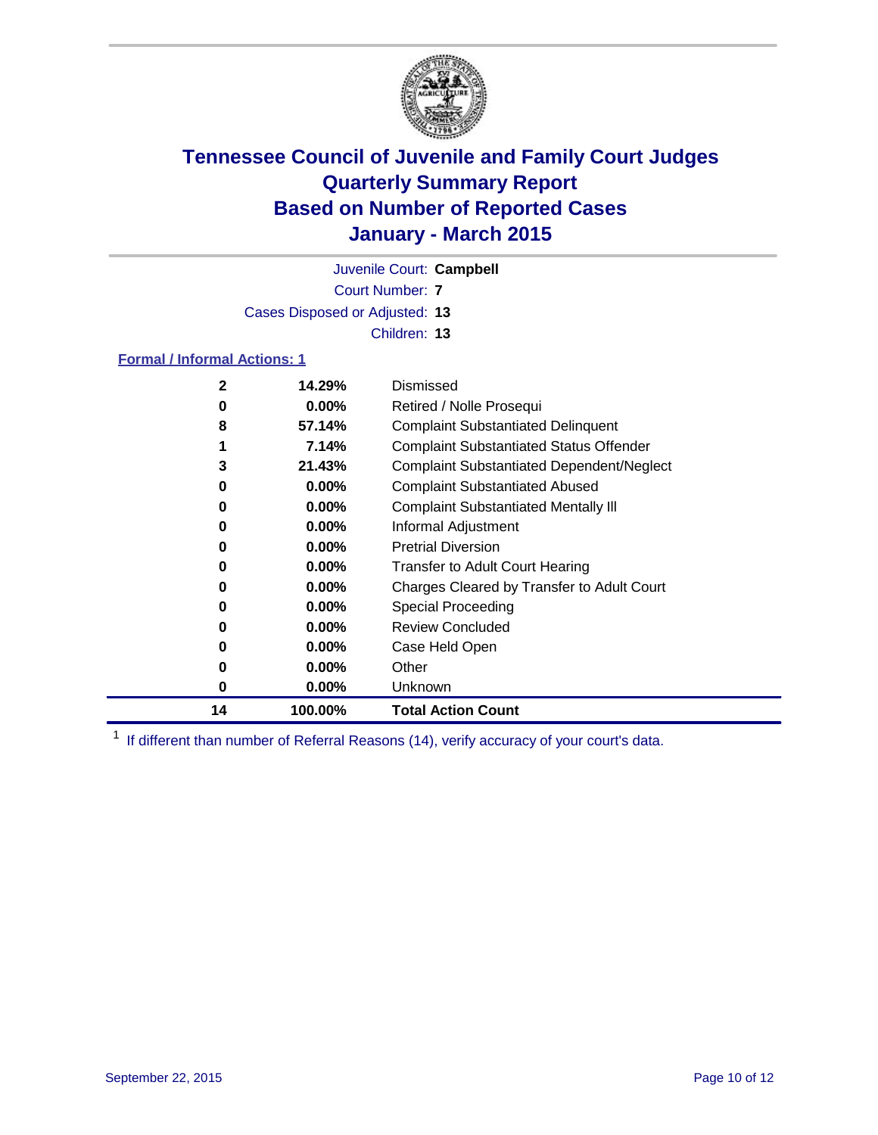

Juvenile Court: **Campbell**

Court Number: **7** Cases Disposed or Adjusted: **13**

Children: **13**

#### **Formal / Informal Actions: 1**

| $\mathbf{2}$ | 14.29%   | Dismissed                                        |
|--------------|----------|--------------------------------------------------|
| 0            | $0.00\%$ | Retired / Nolle Prosequi                         |
| 8            | 57.14%   | <b>Complaint Substantiated Delinquent</b>        |
|              | 7.14%    | <b>Complaint Substantiated Status Offender</b>   |
| 3            | 21.43%   | <b>Complaint Substantiated Dependent/Neglect</b> |
| 0            | $0.00\%$ | <b>Complaint Substantiated Abused</b>            |
| 0            | $0.00\%$ | <b>Complaint Substantiated Mentally III</b>      |
| 0            | $0.00\%$ | Informal Adjustment                              |
| 0            | $0.00\%$ | <b>Pretrial Diversion</b>                        |
| 0            | $0.00\%$ | <b>Transfer to Adult Court Hearing</b>           |
| 0            | $0.00\%$ | Charges Cleared by Transfer to Adult Court       |
| 0            | $0.00\%$ | Special Proceeding                               |
| 0            | $0.00\%$ | <b>Review Concluded</b>                          |
| 0            | $0.00\%$ | Case Held Open                                   |
| 0            | $0.00\%$ | Other                                            |
| 0            | $0.00\%$ | Unknown                                          |
| 14           | 100.00%  | <b>Total Action Count</b>                        |

<sup>1</sup> If different than number of Referral Reasons (14), verify accuracy of your court's data.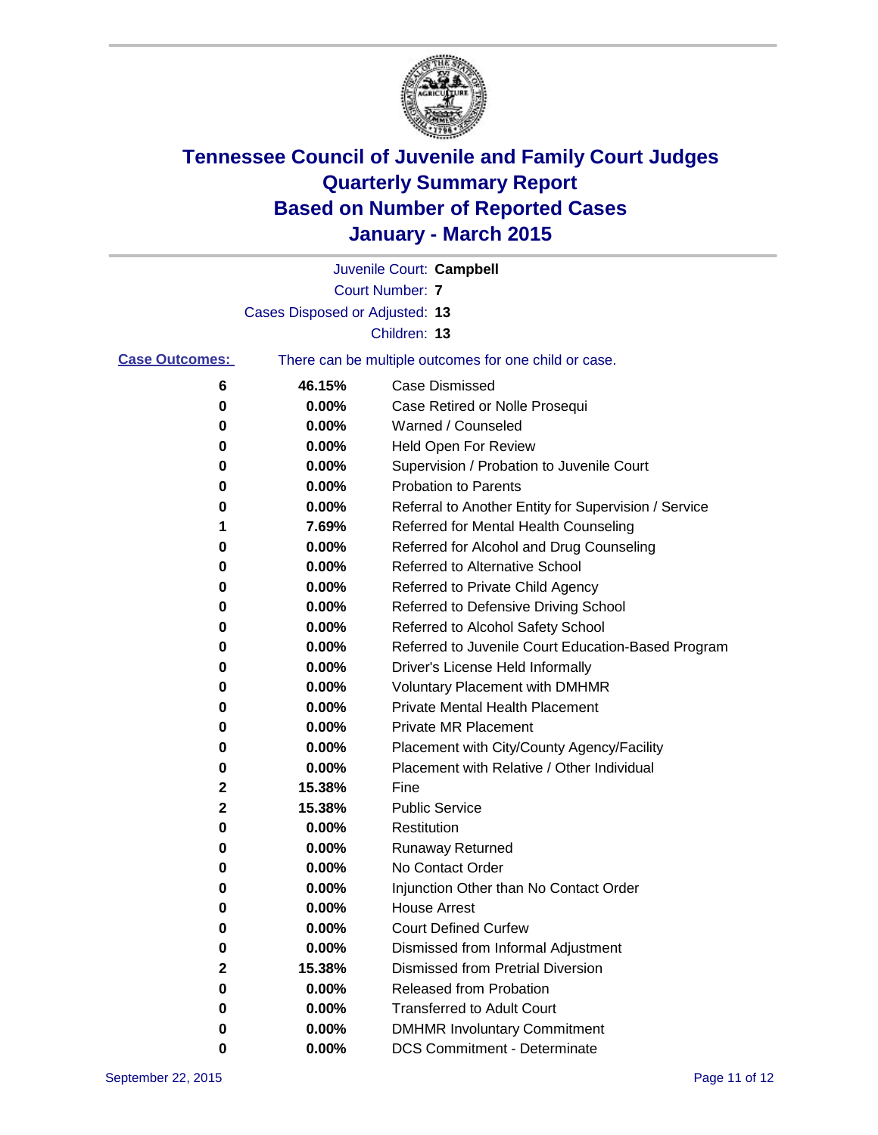

|                       |                                | Juvenile Court: Campbell                              |
|-----------------------|--------------------------------|-------------------------------------------------------|
|                       |                                | <b>Court Number: 7</b>                                |
|                       | Cases Disposed or Adjusted: 13 |                                                       |
|                       |                                | Children: 13                                          |
| <b>Case Outcomes:</b> |                                | There can be multiple outcomes for one child or case. |
| 6                     | 46.15%                         | <b>Case Dismissed</b>                                 |
| 0                     | 0.00%                          | Case Retired or Nolle Prosequi                        |
| 0                     | 0.00%                          | Warned / Counseled                                    |
| 0                     | 0.00%                          | Held Open For Review                                  |
| 0                     | 0.00%                          | Supervision / Probation to Juvenile Court             |
| 0                     | 0.00%                          | <b>Probation to Parents</b>                           |
| 0                     | 0.00%                          | Referral to Another Entity for Supervision / Service  |
| 1                     | 7.69%                          | Referred for Mental Health Counseling                 |
| 0                     | 0.00%                          | Referred for Alcohol and Drug Counseling              |
| 0                     | 0.00%                          | Referred to Alternative School                        |
| 0                     | 0.00%                          | Referred to Private Child Agency                      |
| 0                     | 0.00%                          | Referred to Defensive Driving School                  |
| 0                     | 0.00%                          | Referred to Alcohol Safety School                     |
| 0                     | 0.00%                          | Referred to Juvenile Court Education-Based Program    |
| 0                     | 0.00%                          | Driver's License Held Informally                      |
| 0                     | 0.00%                          | <b>Voluntary Placement with DMHMR</b>                 |
| 0                     | 0.00%                          | <b>Private Mental Health Placement</b>                |
| 0                     | 0.00%                          | <b>Private MR Placement</b>                           |
| 0                     | 0.00%                          | Placement with City/County Agency/Facility            |
| 0                     | 0.00%                          | Placement with Relative / Other Individual            |
| 2                     | 15.38%                         | Fine                                                  |
| 2                     | 15.38%                         | <b>Public Service</b>                                 |
| 0                     | 0.00%                          | Restitution                                           |
| 0                     | 0.00%                          | <b>Runaway Returned</b>                               |
| 0                     | 0.00%                          | No Contact Order                                      |
| 0                     | 0.00%                          | Injunction Other than No Contact Order                |
| 0                     | 0.00%                          | <b>House Arrest</b>                                   |
| 0                     | 0.00%                          | <b>Court Defined Curfew</b>                           |
| 0                     | 0.00%                          | Dismissed from Informal Adjustment                    |
| 2                     | 15.38%                         | <b>Dismissed from Pretrial Diversion</b>              |
| 0                     | 0.00%                          | Released from Probation                               |
| 0                     | $0.00\%$                       | <b>Transferred to Adult Court</b>                     |
| 0                     | 0.00%                          | <b>DMHMR Involuntary Commitment</b>                   |
| 0                     | $0.00\%$                       | <b>DCS Commitment - Determinate</b>                   |